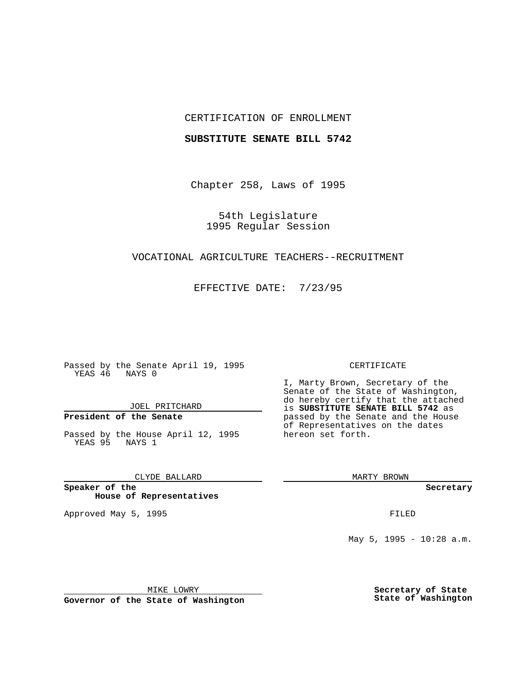## CERTIFICATION OF ENROLLMENT

### **SUBSTITUTE SENATE BILL 5742**

Chapter 258, Laws of 1995

54th Legislature 1995 Regular Session

## VOCATIONAL AGRICULTURE TEACHERS--RECRUITMENT

EFFECTIVE DATE: 7/23/95

Passed by the Senate April 19, 1995 YEAS 46 NAYS 0

JOEL PRITCHARD

# **President of the Senate**

Passed by the House April 12, 1995 YEAS 95 NAYS 1

CLYDE BALLARD

**Speaker of the House of Representatives**

Approved May 5, 1995 **FILED** 

#### CERTIFICATE

I, Marty Brown, Secretary of the Senate of the State of Washington, do hereby certify that the attached is **SUBSTITUTE SENATE BILL 5742** as passed by the Senate and the House of Representatives on the dates hereon set forth.

MARTY BROWN

**Secretary**

May  $5$ , 1995 - 10:28 a.m.

MIKE LOWRY

**Governor of the State of Washington**

**Secretary of State State of Washington**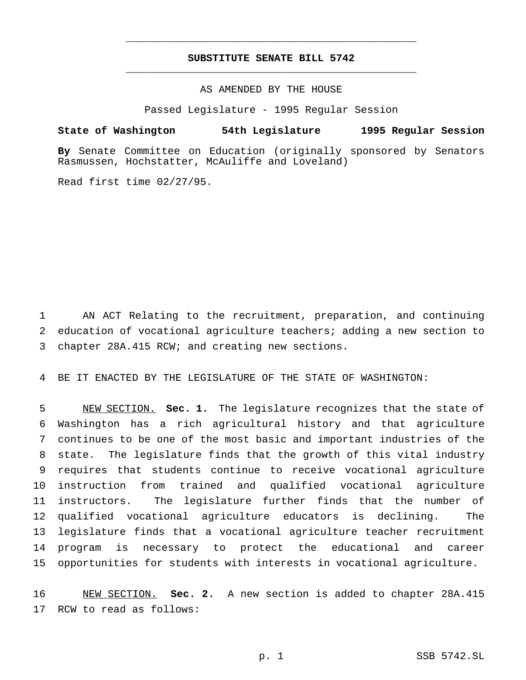## **SUBSTITUTE SENATE BILL 5742** \_\_\_\_\_\_\_\_\_\_\_\_\_\_\_\_\_\_\_\_\_\_\_\_\_\_\_\_\_\_\_\_\_\_\_\_\_\_\_\_\_\_\_\_\_\_\_

\_\_\_\_\_\_\_\_\_\_\_\_\_\_\_\_\_\_\_\_\_\_\_\_\_\_\_\_\_\_\_\_\_\_\_\_\_\_\_\_\_\_\_\_\_\_\_

## AS AMENDED BY THE HOUSE

Passed Legislature - 1995 Regular Session

### **State of Washington 54th Legislature 1995 Regular Session**

**By** Senate Committee on Education (originally sponsored by Senators Rasmussen, Hochstatter, McAuliffe and Loveland)

Read first time 02/27/95.

 AN ACT Relating to the recruitment, preparation, and continuing education of vocational agriculture teachers; adding a new section to chapter 28A.415 RCW; and creating new sections.

BE IT ENACTED BY THE LEGISLATURE OF THE STATE OF WASHINGTON:

 NEW SECTION. **Sec. 1.** The legislature recognizes that the state of Washington has a rich agricultural history and that agriculture continues to be one of the most basic and important industries of the state. The legislature finds that the growth of this vital industry requires that students continue to receive vocational agriculture instruction from trained and qualified vocational agriculture instructors. The legislature further finds that the number of qualified vocational agriculture educators is declining. The legislature finds that a vocational agriculture teacher recruitment program is necessary to protect the educational and career opportunities for students with interests in vocational agriculture.

 NEW SECTION. **Sec. 2.** A new section is added to chapter 28A.415 RCW to read as follows: